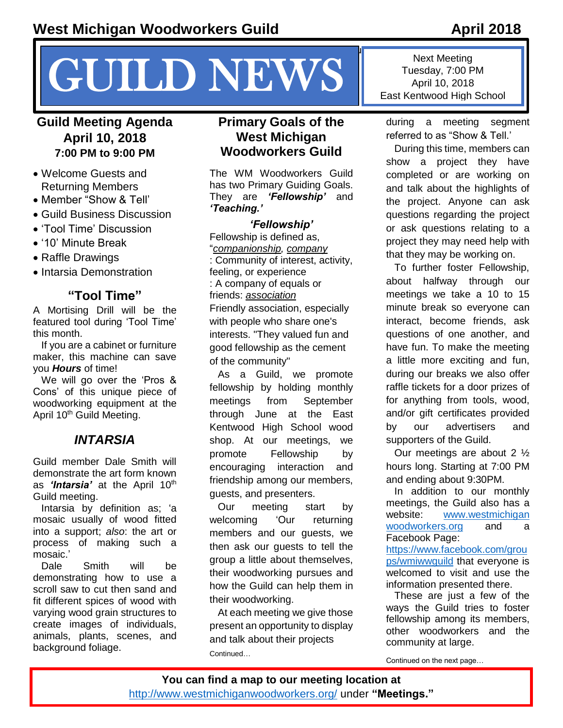# $\mathcal{G}_\mathcal{G}$  your reader to attention with a great  $\mathcal{G}_\mathcal{G}$  and use this space to emphasize a key use this space to emphasize a key use this space to emphasize a key use this space to emphasize a key use the space **CUILD NEWS** INVERS Tuesday, 7:00 P<br>East Kentwood High

#### **Guild Meeting Agenda April 10, 2018 7:00 PM to 9:00 PM**

- Welcome Guests and Returning Members
- Member "Show & Tell'
- Guild Business Discussion
- 'Tool Time' Discussion
- '10' Minute Break
- Raffle Drawings
- Intarsia Demonstration

#### **"Tool Time"**

A Mortising Drill will be the featured tool during 'Tool Time' this month.

If you are a cabinet or furniture maker, this machine can save you *Hours* of time!

We will go over the 'Pros & Cons' of this unique piece of woodworking equipment at the April 10<sup>th</sup> Guild Meeting.

#### *INTARSIA*

Guild member Dale Smith will demonstrate the art form known as 'Intarsia' at the April 10<sup>th</sup> Guild meeting.

Intarsia by definition as; 'a mosaic usually of wood fitted into a support; *also*: the art or process of making such a mosaic.'

Dale Smith will be demonstrating how to use a scroll saw to cut then sand and fit different spices of wood with varying wood grain structures to create images of individuals, animals, plants, scenes, and background foliage.

#### **Primary Goals of the West Michigan Woodworkers Guild**

The WM Woodworkers Guild has two Primary Guiding Goals. They are *'Fellowship'* and *'Teaching.'*

*'Fellowship'*

Fellowship is defined as, "*[companionship,](https://secure.merriam-webster.com/msdictionary/companionship) [company](https://secure.merriam-webster.com/msdictionary/company)* : Community of interest, activity, feeling, or experience : A company of equals or friends: *[association](https://secure.merriam-webster.com/msdictionary/association)* Friendly association, especially with people who share one's interests. "They valued fun and good fellowship as the cement of the community"

As a Guild, we promote fellowship by holding monthly meetings from September through June at the East Kentwood High School wood shop. At our meetings, we promote Fellowship by encouraging interaction and friendship among our members, guests, and presenters.

Our meeting start by welcoming 'Our returning members and our guests, we then ask our guests to tell the group a little about themselves, their woodworking pursues and how the Guild can help them in their woodworking.

At each meeting we give those present an opportunity to display and talk about their projects Continued…

Next Meeting Tuesday, 7:00 PM East Kentwood High School

during a meeting segment referred to as "Show & Tell.'

During this time, members can show a project they have completed or are working on and talk about the highlights of the project. Anyone can ask questions regarding the project or ask questions relating to a project they may need help with that they may be working on.

To further foster Fellowship, about halfway through our meetings we take a 10 to 15 minute break so everyone can interact, become friends, ask questions of one another, and have fun. To make the meeting a little more exciting and fun, during our breaks we also offer raffle tickets for a door prizes of for anything from tools, wood, and/or gift certificates provided by our advertisers and supporters of the Guild.

Our meetings are about 2 ½ hours long. Starting at 7:00 PM and ending about 9:30PM.

In addition to our monthly meetings, the Guild also has a website: www.westmichigan [woodworkers.org](file:///C:/Users/McDonald/Documents/WW%20Guild%20Docs/WW%20Guild%20Docs/Newsletter%20Articles%20by%20TRM/April%202018/www.westmichigan%20woodworkers.org) and a Facebook Page:

[https://www.facebook.com/grou](https://www.facebook.com/groups/wmiwwguild) [ps/wmiwwguild](https://www.facebook.com/groups/wmiwwguild) that everyone is welcomed to visit and use the information presented there.

These are just a few of the ways the Guild tries to foster fellowship among its members, other woodworkers and the community at large.

Continued on the next page…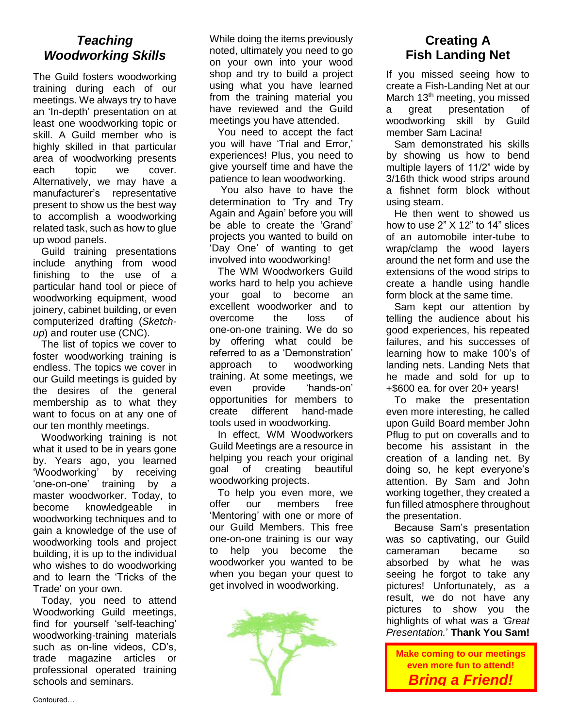#### *Teaching Woodworking Skills*

The Guild fosters woodworking training during each of our meetings. We always try to have an 'In-depth' presentation on at least one woodworking topic or skill. A Guild member who is highly skilled in that particular area of woodworking presents each topic we cover. Alternatively, we may have a manufacturer's representative present to show us the best way to accomplish a woodworking related task, such as how to glue up wood panels.

Guild training presentations include anything from wood finishing to the use of a particular hand tool or piece of woodworking equipment, wood joinery, cabinet building, or even computerized drafting (*Sketchup*) and router use (CNC).

The list of topics we cover to foster woodworking training is endless. The topics we cover in our Guild meetings is guided by the desires of the general membership as to what they want to focus on at any one of our ten monthly meetings.

Woodworking training is not what it used to be in years gone by. Years ago, you learned 'Woodworking' by receiving 'one-on-one' training by a master woodworker. Today, to become knowledgeable in woodworking techniques and to gain a knowledge of the use of woodworking tools and project building, it is up to the individual who wishes to do woodworking and to learn the 'Tricks of the Trade' on your own.

Today, you need to attend Woodworking Guild meetings, find for yourself 'self-teaching' woodworking-training materials such as on-line videos, CD's, trade magazine articles or professional operated training schools and seminars.

While doing the items previously noted, ultimately you need to go on your own into your wood shop and try to build a project using what you have learned from the training material you have reviewed and the Guild meetings you have attended.

You need to accept the fact you will have 'Trial and Error,' experiences! Plus, you need to give yourself time and have the patience to lean woodworking.

You also have to have the determination to 'Try and Try Again and Again' before you will be able to create the 'Grand' projects you wanted to build on 'Day One' of wanting to get involved into woodworking!

The WM Woodworkers Guild works hard to help you achieve your goal to become an excellent woodworker and to overcome the loss of one-on-one training. We do so by offering what could be referred to as a 'Demonstration' approach to woodworking training. At some meetings, we even provide 'hands-on' opportunities for members to create different hand-made tools used in woodworking.

In effect, WM Woodworkers Guild Meetings are a resource in helping you reach your original goal of creating beautiful woodworking projects.

To help you even more, we offer our members free 'Mentoring' with one or more of our Guild Members. This free one-on-one training is our way to help you become the woodworker you wanted to be when you began your quest to get involved in woodworking.



# **Creating A Fish Landing Net**

If you missed seeing how to create a Fish-Landing Net at our March 13<sup>th</sup> meeting, you missed a great presentation of woodworking skill by Guild member Sam Lacina!

Sam demonstrated his skills by showing us how to bend multiple layers of 11/2" wide by 3/16th thick wood strips around a fishnet form block without using steam.

He then went to showed us how to use 2" X 12" to 14" slices of an automobile inter-tube to wrap/clamp the wood layers around the net form and use the extensions of the wood strips to create a handle using handle form block at the same time.

Sam kept our attention by telling the audience about his good experiences, his repeated failures, and his successes of learning how to make 100's of landing nets. Landing Nets that he made and sold for up to +\$600 ea. for over 20+ years!

To make the presentation even more interesting, he called upon Guild Board member John Pflug to put on coveralls and to become his assistant in the creation of a landing net. By doing so, he kept everyone's attention. By Sam and John working together, they created a fun filled atmosphere throughout the presentation.

Because Sam's presentation was so captivating, our Guild cameraman became so absorbed by what he was seeing he forgot to take any pictures! Unfortunately, as a result, we do not have any pictures to show you the highlights of what was a *'Great Presentation.*' **Thank You Sam!**

**Make coming to our meetings even more fun to attend!** *Bring a Friend!*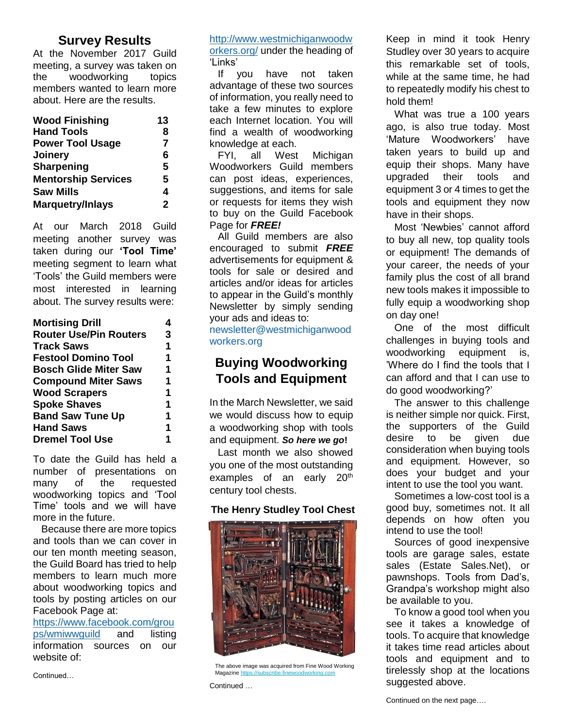#### **Survey Results**

At the November 2017 Guild meeting, a survey was taken on the woodworking topics members wanted to learn more about. Here are the results.

| <b>Wood Finishing</b>      | 13           |
|----------------------------|--------------|
| <b>Hand Tools</b>          | 8            |
| <b>Power Tool Usage</b>    | 7            |
| Joinery                    | 6            |
| Sharpening                 | 5            |
| <b>Mentorship Services</b> | 5            |
| <b>Saw Mills</b>           | 4            |
| <b>Marquetry/Inlays</b>    | $\mathbf{2}$ |

At our March 2018 Guild meeting another survey was taken during our **'Tool Time'**  meeting segment to learn what 'Tools' the Guild members were most interested in learning about. The survey results were:

| <b>Mortising Drill</b>        |   |
|-------------------------------|---|
| <b>Router Use/Pin Routers</b> | 3 |
| <b>Track Saws</b>             | 1 |
| <b>Festool Domino Tool</b>    | 1 |
| <b>Bosch Glide Miter Saw</b>  | 1 |
| <b>Compound Miter Saws</b>    | 1 |
| <b>Wood Scrapers</b>          | 1 |
| <b>Spoke Shaves</b>           | 1 |
| <b>Band Saw Tune Up</b>       | 1 |
| <b>Hand Saws</b>              | 1 |
| <b>Dremel Tool Use</b>        | 1 |

To date the Guild has held a number of presentations on many of the requested woodworking topics and 'Tool Time' tools and we will have more in the future.

Because there are more topics and tools than we can cover in our ten month meeting season, the Guild Board has tried to help members to learn much more about woodworking topics and tools by posting articles on our Facebook Page at:

[https://www.facebook.com/grou](https://www.facebook.com/groups/wmiwwguild) [ps/wmiwwguild](https://www.facebook.com/groups/wmiwwguild) and listing information sources on our website of:

Continued…

[http://www.westmichiganwoodw](http://www.westmichiganwoodworkers.org/) [orkers.org/](http://www.westmichiganwoodworkers.org/) under the heading of 'Links'

If you have not taken advantage of these two sources of information, you really need to take a few minutes to explore each Internet location. You will find a wealth of woodworking knowledge at each.

FYI, all West Michigan Woodworkers Guild members can post ideas, experiences, suggestions, and items for sale or requests for items they wish to buy on the Guild Facebook Page for *FREE!*

All Guild members are also encouraged to submit *FREE* advertisements for equipment & tools for sale or desired and articles and/or ideas for articles to appear in the Guild's monthly Newsletter by simply sending your ads and ideas to:

[newsletter@westmichiganwood](mailto:newsletter@westmichiganwoodworkers.org) [workers.org](mailto:newsletter@westmichiganwoodworkers.org)

#### **Buying Woodworking Tools and Equipment**

In the March Newsletter, we said we would discuss how to equip a woodworking shop with tools and equipment. *So here we go***!**

Last month we also showed you one of the most outstanding examples of an early 20<sup>th</sup> century tool chests.

#### **The Henry Studley Tool Chest**



The above image was acquired from Fine Wood Working Magazine https

Continued …

Keep in mind it took Henry Studley over 30 years to acquire this remarkable set of tools, while at the same time, he had to repeatedly modify his chest to hold them!

What was true a 100 years ago, is also true today. Most 'Mature Woodworkers' have taken years to build up and equip their shops. Many have upgraded their tools and equipment 3 or 4 times to get the tools and equipment they now have in their shops.

Most 'Newbies' cannot afford to buy all new, top quality tools or equipment! The demands of your career, the needs of your family plus the cost of all brand new tools makes it impossible to fully equip a woodworking shop on day one!

One of the most difficult challenges in buying tools and woodworking equipment is, 'Where do I find the tools that I can afford and that I can use to do good woodworking?'

The answer to this challenge is neither simple nor quick. First, the supporters of the Guild desire to be given due consideration when buying tools and equipment. However, so does your budget and your intent to use the tool you want.

Sometimes a low-cost tool is a good buy, sometimes not. It all depends on how often you intend to use the tool!

Sources of good inexpensive tools are garage sales, estate sales (Estate Sales.Net), or pawnshops. Tools from Dad's, Grandpa's workshop might also be available to you.

To know a good tool when you see it takes a knowledge of tools. To acquire that knowledge it takes time read articles about tools and equipment and to tirelessly shop at the locations suggested above.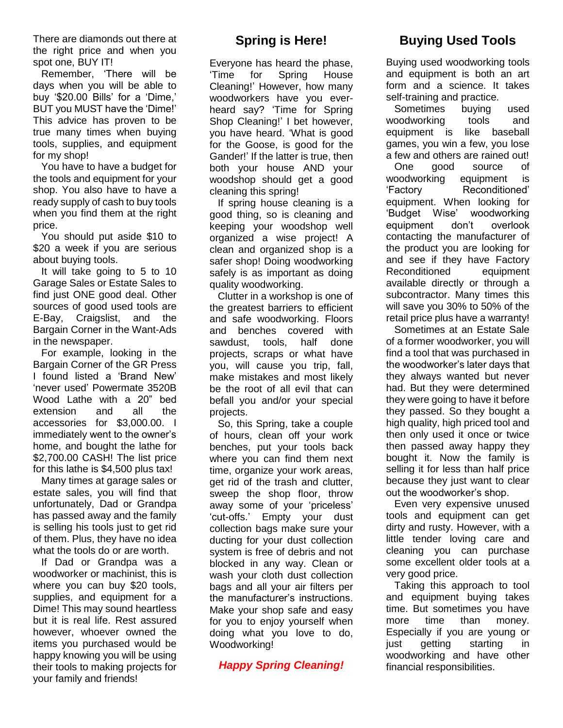There are diamonds out there at the right price and when you spot one, BUY IT!

Remember, 'There will be days when you will be able to buy '\$20.00 Bills' for a 'Dime,' BUT you MUST have the 'Dime!' This advice has proven to be true many times when buying tools, supplies, and equipment for my shop!

You have to have a budget for the tools and equipment for your shop. You also have to have a ready supply of cash to buy tools when you find them at the right price.

You should put aside \$10 to \$20 a week if you are serious about buying tools.

It will take going to 5 to 10 Garage Sales or Estate Sales to find just ONE good deal. Other sources of good used tools are E-Bay, Craigslist, and the Bargain Corner in the Want-Ads in the newspaper.

For example, looking in the Bargain Corner of the GR Press I found listed a 'Brand New' 'never used' Powermate 3520B Wood Lathe with a 20" bed extension and all the accessories for \$3,000.00. I immediately went to the owner's home, and bought the lathe for \$2,700.00 CASH! The list price for this lathe is \$4,500 plus tax!

Many times at garage sales or estate sales, you will find that unfortunately, Dad or Grandpa has passed away and the family is selling his tools just to get rid of them. Plus, they have no idea what the tools do or are worth.

If Dad or Grandpa was a woodworker or machinist, this is where you can buy \$20 tools, supplies, and equipment for a Dime! This may sound heartless but it is real life. Rest assured however, whoever owned the items you purchased would be happy knowing you will be using their tools to making projects for your family and friends!

#### **Spring is Here!**

Everyone has heard the phase, 'Time for Spring House Cleaning!' However, how many woodworkers have you everheard say? 'Time for Spring Shop Cleaning!' I bet however, you have heard. 'What is good for the Goose, is good for the Gander!' If the latter is true, then both your house AND your woodshop should get a good cleaning this spring!

If spring house cleaning is a good thing, so is cleaning and keeping your woodshop well organized a wise project! A clean and organized shop is a safer shop! Doing woodworking safely is as important as doing quality woodworking.

Clutter in a workshop is one of the greatest barriers to efficient and safe woodworking. Floors and benches covered with sawdust, tools, half done projects, scraps or what have you, will cause you trip, fall, make mistakes and most likely be the root of all evil that can befall you and/or your special projects.

So, this Spring, take a couple of hours, clean off your work benches, put your tools back where you can find them next time, organize your work areas, get rid of the trash and clutter, sweep the shop floor, throw away some of your 'priceless' 'cut-offs.' Empty your dust collection bags make sure your ducting for your dust collection system is free of debris and not blocked in any way. Clean or wash your cloth dust collection bags and all your air filters per the manufacturer's instructions. Make your shop safe and easy for you to enjoy yourself when doing what you love to do, Woodworking!

*Happy Spring Cleaning!*

# **Buying Used Tools**

Buying used woodworking tools and equipment is both an art form and a science. It takes self-training and practice.

Sometimes buying used woodworking tools and equipment is like baseball games, you win a few, you lose a few and others are rained out! One good source of woodworking equipment is 'Factory Reconditioned' equipment. When looking for 'Budget Wise' woodworking equipment don't overlook contacting the manufacturer of the product you are looking for and see if they have Factory Reconditioned equipment available directly or through a subcontractor. Many times this will save you 30% to 50% of the retail price plus have a warranty!

Sometimes at an Estate Sale of a former woodworker, you will find a tool that was purchased in the woodworker's later days that they always wanted but never had. But they were determined they were going to have it before they passed. So they bought a high quality, high priced tool and then only used it once or twice then passed away happy they bought it. Now the family is selling it for less than half price because they just want to clear out the woodworker's shop.

Even very expensive unused tools and equipment can get dirty and rusty. However, with a little tender loving care and cleaning you can purchase some excellent older tools at a very good price.

Taking this approach to tool and equipment buying takes time. But sometimes you have more time than money. Especially if you are young or just getting starting in woodworking and have other financial responsibilities.